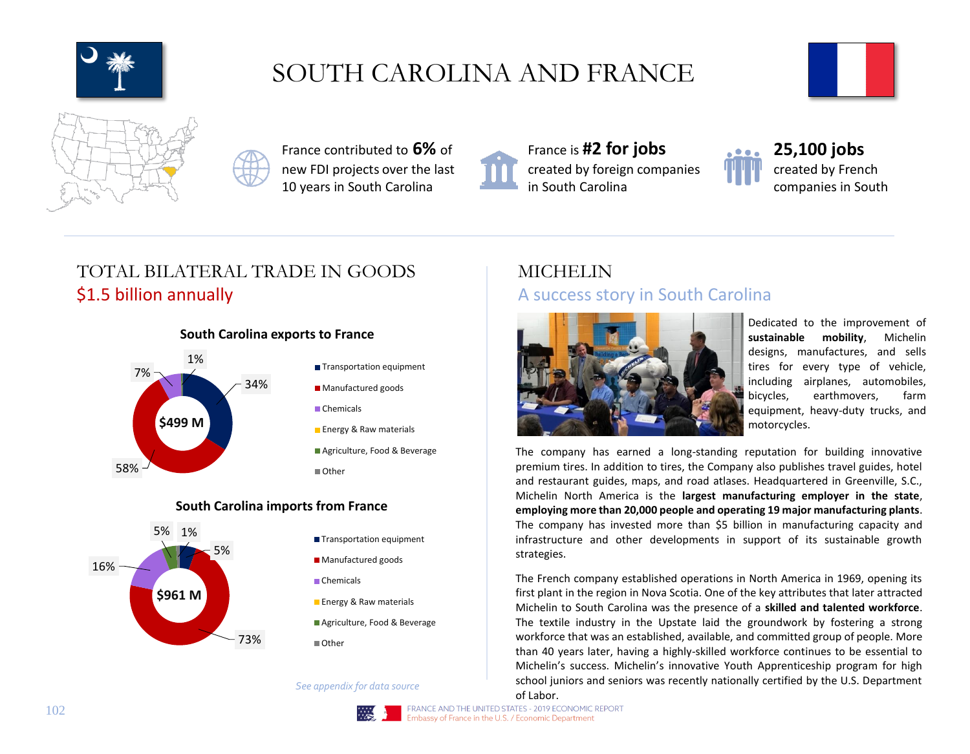

# SOUTH CAROLINA AND FRANCE





France contributed to **6%** of new FDI projects over the last 10 years in South Carolina



France is **#2 for jobs**  created by foreign companies in South Carolina



**25,100 jobs** created by French companies in South

## TOTAL BILATERAL TRADE IN GOODS \$1.5 billion annually

### **South Carolina exports to France**



### **South Carolina imports from France**



- **Transportation equipment**
- **Manufactured goods**
- Chemicals
- **Energy & Raw materials**
- Agriculture, Food & Beverage
- Other

*See appendix for data source*

### MICHELIN A success story in South Carolina



Dedicated to the improvement of **sustainable mobility**, Michelin designs, manufactures, and sells tires for every type of vehicle, including airplanes, automobiles, bicycles, earthmovers, farm equipment, heavy-duty trucks, and motorcycles.

The company has earned a long-standing reputation for building innovative premium tires. In addition to tires, the Company also publishes travel guides, hotel and restaurant guides, maps, and road atlases. Headquartered in Greenville, S.C., Michelin North America is the **largest manufacturing employer in the state**, **employing more than 20,000 people and operating 19 major manufacturing plants**. The company has invested more than \$5 billion in manufacturing capacity and infrastructure and other developments in support of its sustainable growth strategies.

The French company established operations in North America in 1969, opening its first plant in the region in Nova Scotia. One of the key attributes that later attracted Michelin to South Carolina was the presence of a **skilled and talented workforce**. The textile industry in the Upstate laid the groundwork by fostering a strong workforce that was an established, available, and committed group of people. More than 40 years later, having a highly-skilled workforce continues to be essential to Michelin's success. Michelin's innovative Youth Apprenticeship program for high school juniors and seniors was recently nationally certified by the U.S. Department